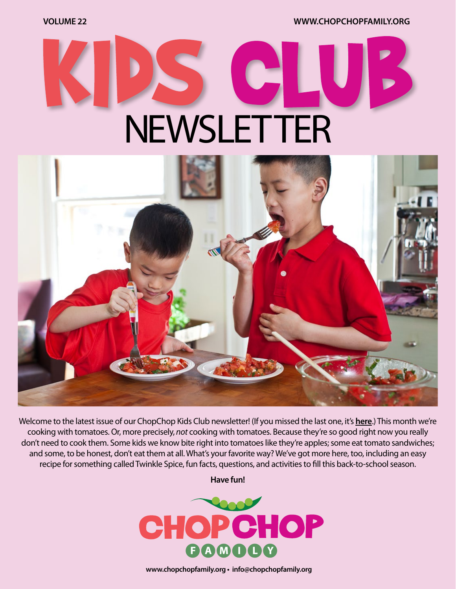**VOLUME 22 [WWW.CHOPCHOPFAMILY.ORG](https://www.chopchopfamily.org)**

# **NEWSLETTER**



Welcome to the latest issue of our ChopChop Kids Club newsletter! [\(If you missed the last one, it's](https://mcusercontent.com/b1ea30ff4c07c4e770929e7f7/files/f6e9786b-3cd2-47bc-91ca-c2cd509bc2a6/ccnewsletter21workingv02.pdf?utm_source=ChopChop+eNewsletter&utm_campaign=7d25565389-Week+19+-+Kids+Club_COPY_01&utm_medium=email&utm_term=0_c340ad3e58-7d25565389-91838109) **here**.) This month we're cooking with tomatoes. Or, more precisely, *not* cooking with tomatoes. Because they're so good right now you really don't need to cook them. Some kids we know bite right into tomatoes like they're apples; some eat tomato sandwiches; and some, to be honest, don't eat them at all. What's your favorite way? We've got more here, too, including an easy recipe for something called Twinkle Spice, fun facts, questions, and activities to fill this back-to-school season.

**Have fun!**



**[www.chopchopfamily.org](https://www.chopchopfamily.org) • [info@chopchopfamily.org](mailto:info@chopchopfamily.org)**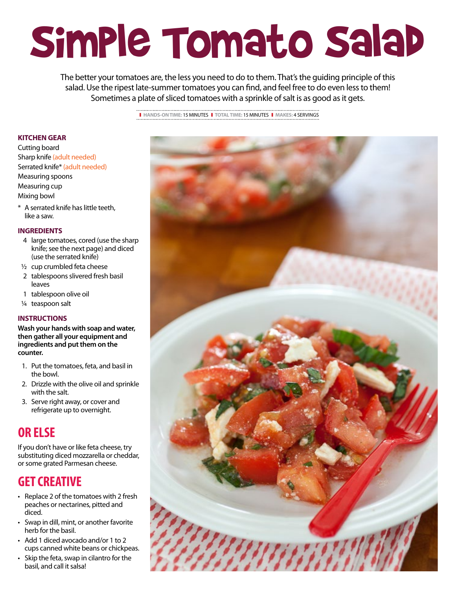# Simple Tomato Salad

The better your tomatoes are, the less you need to do to them. That's the guiding principle of this salad. Use the ripest late-summer tomatoes you can find, and feel free to do even less to them! Sometimes a plate of sliced tomatoes with a sprinkle of salt is as good as it gets.

❚ **HANDS-ON TIME:** 15 MINUTES❚ **TOTAL TIME:** 15 MINUTES ❚ **MAKES:** 4 SERVINGS

### **KITCHEN GEAR**

- Cutting board Sharp knife (adult needed) Serrated knife\* (adult needed) Measuring spoons Measuring cup Mixing bowl
- \* A serrated knife has little teeth, like a saw.

### **INGREDIENTS**

- 4 large tomatoes, cored (use the sharp knife; see the next page) and diced (use the serrated knife)
- 1/2 cup crumbled feta cheese
- 2 tablespoons slivered fresh basil leaves
- 1 tablespoon olive oil
- 1/4 teaspoon salt

### **INSTRUCTIONS**

**Wash your hands with soap and water, then gather all your equipment and ingredients and put them on the counter.**

- 1. Put the tomatoes, feta, and basil in the bowl.
- 2. Drizzle with the olive oil and sprinkle with the salt.
- 3. Serve right away, or cover and refrigerate up to overnight.

# **OR ELSE**

If you don't have or like feta cheese, try substituting diced mozzarella or cheddar, or some grated Parmesan cheese.

# **GET CREATIVE**

- Replace 2 of the tomatoes with 2 fresh peaches or nectarines, pitted and diced.
- Swap in dill, mint, or another favorite herb for the basil.
- Add 1 diced avocado and/or 1 to 2 cups canned white beans or chickpeas.
- Skip the feta, swap in cilantro for the basil, and call it salsa!

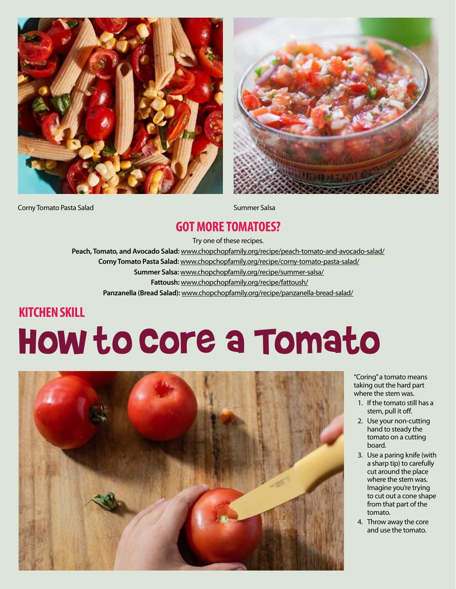



**Corny Tomato Pasta Salad Summer Salsa** Summer Salsa

### **GOT MORE TOMATOES?**

Try one of these recipes.

 **Peach, Tomato, and Avocado Salad:** www.chopchopfamily.org/recipe/peach-tomato-and-avocado-salad/  **Corny Tomato Pasta Salad:** www.chopchopfamily.org/recipe/corny-tomato-pasta-salad/

 **Summer Salsa:** www.chopchopfamily.org/recipe/summer-salsa/

 **Fattoush:** www.chopchopfamily.org/recipe/fattoush/

**Panzanella (Bread Salad):** www.chopchopfamily.org/recipe/panzanella-bread-salad/

# **KITCHEN SKILL**

# How to Core a Tomato



"Coring" a tomato means taking out the hard part where the stem was.

- 1. If the tomato still has a stem, pull it off.
- 2. Use your non-cutting hand to steady the tomato on a cutting board.
- 3. Use a paring knife (with a sharp tip) to carefully cut around the place where the stem was. Imagine you're trying to cut out a cone shape from that part of the tomato.
- 4. Throw away the core and use the tomato.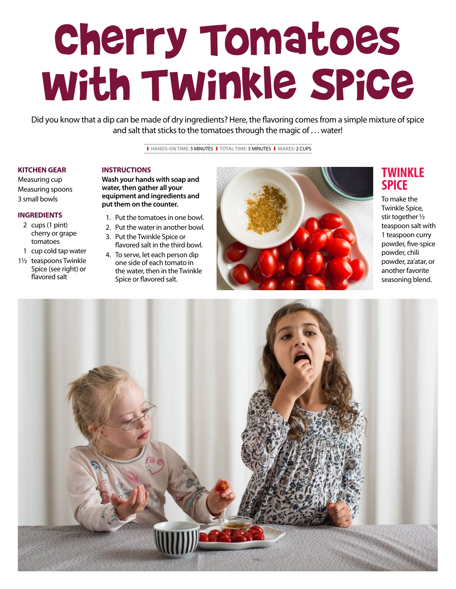# Cherry Tomatoes with Twinkle Spice

Did you know that a dip can be made of dry ingredients? Here, the flavoring comes from a simple mixture of spice and salt that sticks to the tomatoes through the magic of . . . water!

❚ **HANDS-ON TIME:** 5 MINUTES❚ **TOTAL TIME:** 5 MINUTES ❚ **MAKES:** 2 CUPS

#### **KITCHEN GEAR**

**INSTRUCTIONS**

Measuring cup Measuring spoons 3 small bowls

#### **INGREDIENTS**

- 2 cups (1 pint) cherry or grape tomatoes
- 1 cup cold tap water
- 1½ teaspoons Twinkle Spice (see right) or flavored salt

### **Wash your hands with soap and water, then gather all your equipment and ingredients and**

- **put them on the counter.** 1. Put the tomatoes in one bowl.
- 2. Put the water in another bowl.
- 3. Put the Twinkle Spice or flavored salt in the third bowl.
- 4. To serve, let each person dip one side of each tomato in the water, then in the Twinkle Spice or flavored salt.



### **TWINKLE SPICE**

To make the Twinkle Spice, stir together ½ teaspoon salt with 1 teaspoon curry powder, five-spice powder, chili powder, za'atar, or another favorite seasoning blend.